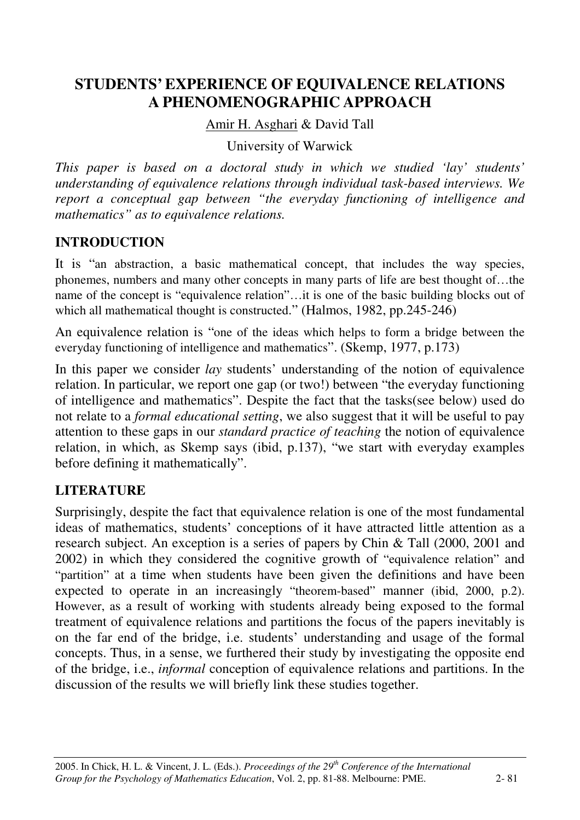# **STUDENTS' EXPERIENCE OF EQUIVALENCE RELATIONS A PHENOMENOGRAPHIC APPROACH**

### Amir H. Asghari & David Tall

University of Warwick

*This paper is based on a doctoral study in which we studied 'lay' students' understanding of equivalence relations through individual task-based interviews. We report a conceptual gap between "the everyday functioning of intelligence and mathematics" as to equivalence relations.*

### **INTRODUCTION**

It is "an abstraction, a basic mathematical concept, that includes the way species, phonemes, numbers and many other concepts in many parts of life are best thought of…the name of the concept is "equivalence relation"…it is one of the basic building blocks out of which all mathematical thought is constructed." (Halmos, 1982, pp.245-246)

An equivalence relation is "one of the ideas which helps to form a bridge between the everyday functioning of intelligence and mathematics". (Skemp, 1977, p.173)

In this paper we consider *lay* students' understanding of the notion of equivalence relation. In particular, we report one gap (or two!) between "the everyday functioning of intelligence and mathematics". Despite the fact that the tasks(see below) used do not relate to a *formal educational setting*, we also suggest that it will be useful to pay attention to these gaps in our *standard practice of teaching* the notion of equivalence relation, in which, as Skemp says (ibid, p.137), "we start with everyday examples before defining it mathematically".

## **LITERATURE**

Surprisingly, despite the fact that equivalence relation is one of the most fundamental ideas of mathematics, students' conceptions of it have attracted little attention as a research subject. An exception is a series of papers by Chin & Tall (2000, 2001 and 2002) in which they considered the cognitive growth of "equivalence relation" and "partition" at a time when students have been given the definitions and have been expected to operate in an increasingly "theorem-based" manner (ibid, 2000, p.2). However, as a result of working with students already being exposed to the formal treatment of equivalence relations and partitions the focus of the papers inevitably is on the far end of the bridge, i.e. students' understanding and usage of the formal concepts. Thus, in a sense, we furthered their study by investigating the opposite end of the bridge, i.e., *informal* conception of equivalence relations and partitions. In the discussion of the results we will briefly link these studies together.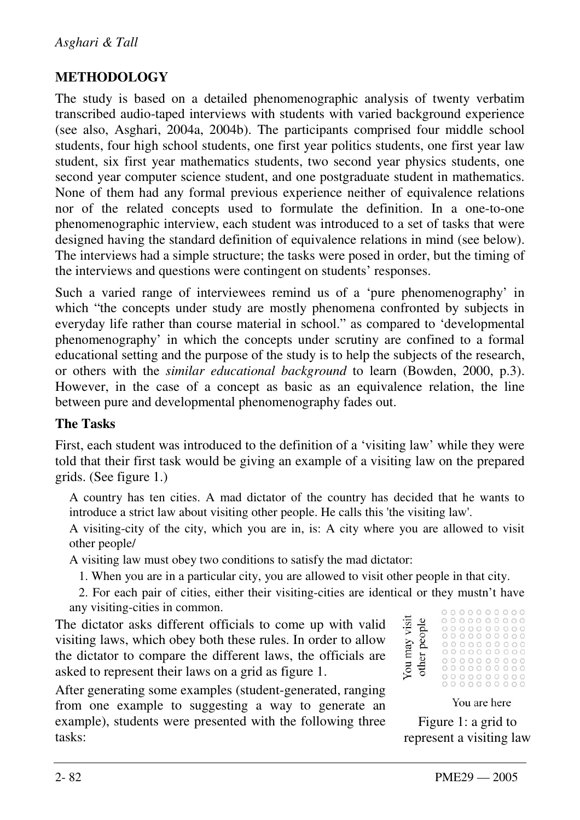### **METHODOLOGY**

The study is based on a detailed phenomenographic analysis of twenty verbatim transcribed audio-taped interviews with students with varied background experience (see also, Asghari, 2004a, 2004b). The participants comprised four middle school students, four high school students, one first year politics students, one first year law student, six first year mathematics students, two second year physics students, one second year computer science student, and one postgraduate student in mathematics. None of them had any formal previous experience neither of equivalence relations nor of the related concepts used to formulate the definition. In a one-to-one phenomenographic interview, each student was introduced to a set of tasks that were designed having the standard definition of equivalence relations in mind (see below). The interviews had a simple structure; the tasks were posed in order, but the timing of the interviews and questions were contingent on students' responses.

Such a varied range of interviewees remind us of a 'pure phenomenography' in which "the concepts under study are mostly phenomena confronted by subjects in everyday life rather than course material in school." as compared to 'developmental phenomenography' in which the concepts under scrutiny are confined to a formal educational setting and the purpose of the study is to help the subjects of the research, or others with the *similar educational background* to learn (Bowden, 2000, p.3). However, in the case of a concept as basic as an equivalence relation, the line between pure and developmental phenomenography fades out.

#### **The Tasks**

First, each student was introduced to the definition of a 'visiting law' while they were told that their first task would be giving an example of a visiting law on the prepared grids. (See figure 1.)

A country has ten cities. A mad dictator of the country has decided that he wants to introduce a strict law about visiting other people. He calls this 'the visiting law'.

A visiting-city of the city, which you are in, is: A city where you are allowed to visit other people/

A visiting law must obey two conditions to satisfy the mad dictator:

1. When you are in a particular city, you are allowed to visit other people in that city.

2. For each pair of cities, either their visiting-cities are identical or they mustn't have any visiting-cities in common.

The dictator asks different officials to come up with valid visiting laws, which obey both these rules. In order to allow the dictator to compare the different laws, the officials are asked to represent their laws on a grid as figure 1.

After generating some examples (student-generated, ranging from one example to suggesting a way to generate an example), students were presented with the following three tasks:

|              | 0000000000 |
|--------------|------------|
| al<br>D      | 0000000000 |
| Þ            | 0000000000 |
| peo          | 0000000000 |
|              | 0000000000 |
| may          | 0000000000 |
|              | 0000000000 |
| other<br>noi | 0000000000 |
|              | 0000000000 |
|              | 0000000000 |

You are here

Figure 1: a grid to represent a visiting law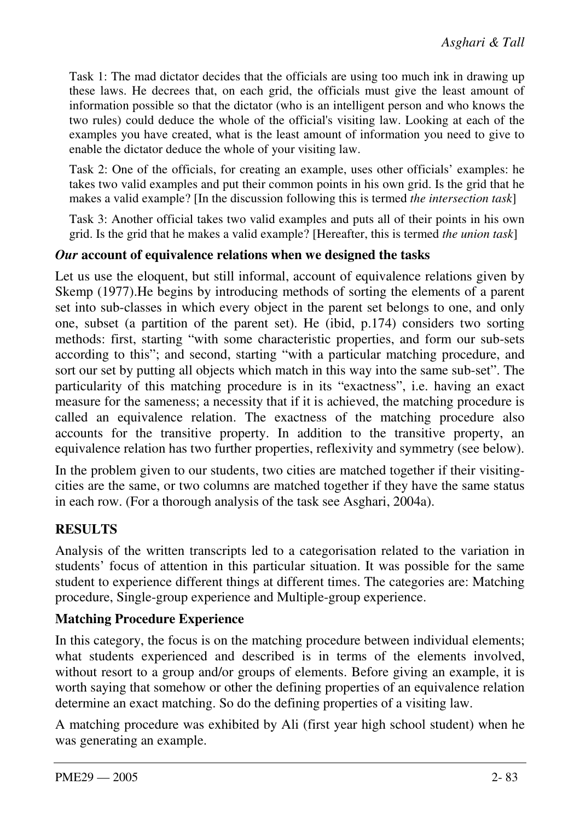Task 1: The mad dictator decides that the officials are using too much ink in drawing up these laws. He decrees that, on each grid, the officials must give the least amount of information possible so that the dictator (who is an intelligent person and who knows the two rules) could deduce the whole of the official's visiting law. Looking at each of the examples you have created, what is the least amount of information you need to give to enable the dictator deduce the whole of your visiting law.

Task 2: One of the officials, for creating an example, uses other officials' examples: he takes two valid examples and put their common points in his own grid. Is the grid that he makes a valid example? [In the discussion following this is termed *the intersection task*]

Task 3: Another official takes two valid examples and puts all of their points in his own grid. Is the grid that he makes a valid example? [Hereafter, this is termed *the union task*]

#### *Our* **account of equivalence relations when we designed the tasks**

Let us use the eloquent, but still informal, account of equivalence relations given by Skemp (1977).He begins by introducing methods of sorting the elements of a parent set into sub-classes in which every object in the parent set belongs to one, and only one, subset (a partition of the parent set). He (ibid, p.174) considers two sorting methods: first, starting "with some characteristic properties, and form our sub-sets according to this"; and second, starting "with a particular matching procedure, and sort our set by putting all objects which match in this way into the same sub-set". The particularity of this matching procedure is in its "exactness", i.e. having an exact measure for the sameness; a necessity that if it is achieved, the matching procedure is called an equivalence relation. The exactness of the matching procedure also accounts for the transitive property. In addition to the transitive property, an equivalence relation has two further properties, reflexivity and symmetry (see below).

In the problem given to our students, two cities are matched together if their visitingcities are the same, or two columns are matched together if they have the same status in each row. (For a thorough analysis of the task see Asghari, 2004a).

### **RESULTS**

Analysis of the written transcripts led to a categorisation related to the variation in students' focus of attention in this particular situation. It was possible for the same student to experience different things at different times. The categories are: Matching procedure, Single-group experience and Multiple-group experience.

### **Matching Procedure Experience**

In this category, the focus is on the matching procedure between individual elements; what students experienced and described is in terms of the elements involved, without resort to a group and/or groups of elements. Before giving an example, it is worth saying that somehow or other the defining properties of an equivalence relation determine an exact matching. So do the defining properties of a visiting law.

A matching procedure was exhibited by Ali (first year high school student) when he was generating an example.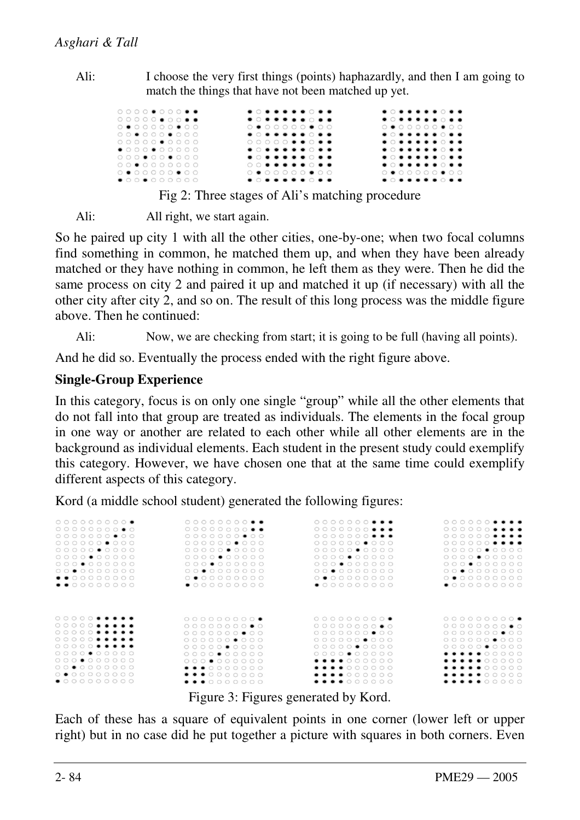Ali: I choose the very first things (points) haphazardly, and then I am going to match the things that have not been matched up yet.

| 0000000000   |                                                                                                                                                                                                                                                                                                                                                                                                                                                                                   |                                                                                                                          |
|--------------|-----------------------------------------------------------------------------------------------------------------------------------------------------------------------------------------------------------------------------------------------------------------------------------------------------------------------------------------------------------------------------------------------------------------------------------------------------------------------------------|--------------------------------------------------------------------------------------------------------------------------|
| 0000000000   | $\begin{array}{lllllllllllllllll} \bullet\hspace{0.2cm} \circ\hspace{0.2cm} \bullet\hspace{0.2cm} \bullet\hspace{0.2cm} \bullet\hspace{0.2cm} \bullet\hspace{0.2cm} \bullet\hspace{0.2cm} \bullet\hspace{0.2cm} \bullet\hspace{0.2cm} \bullet\hspace{0.2cm} \bullet\hspace{0.2cm} \bullet\hspace{0.2cm} \bullet\hspace{0.2cm} \bullet\hspace{0.2cm} \bullet\hspace{0.2cm} \bullet\hspace{0.2cm} \bullet\hspace{0.2cm} \bullet\hspace{0.2cm} \bullet\hspace{0$                     | $\bullet\circ\bullet\bullet\bullet\bullet\bullet\circ\bullet\bullet$                                                     |
| 0000000000   | 000000000                                                                                                                                                                                                                                                                                                                                                                                                                                                                         | 000000000                                                                                                                |
| 0000000000   |                                                                                                                                                                                                                                                                                                                                                                                                                                                                                   |                                                                                                                          |
| 0000000000   | 0000000000                                                                                                                                                                                                                                                                                                                                                                                                                                                                        | $\bullet\circ\bullet\bullet\bullet\bullet\bullet\circ\bullet\bullet$                                                     |
|              |                                                                                                                                                                                                                                                                                                                                                                                                                                                                                   | $\bullet\circ\bullet\bullet\bullet\bullet\bullet\circ\bullet\bullet$                                                     |
| 0000000000   | $\begin{array}{lllllllllllllllll} \bullet\hspace{0.2cm} & \bullet\hspace{0.2cm}& \bullet\hspace{0.2cm}& \bullet\hspace{0.2cm}& \bullet\hspace{0.2cm}& \bullet\hspace{0.2cm}& \bullet\hspace{0.2cm}& \bullet\hspace{0.2cm}& \bullet\hspace{0.2cm}& \bullet\hspace{0.2cm}& \bullet\hspace{0.2cm}& \bullet\hspace{0.2cm}& \bullet\hspace{0.2cm}& \bullet\hspace{0.2cm}& \bullet\hspace{0.2cm}& \bullet\hspace{0.2cm}& \bullet\hspace{0.2cm}& \bullet\hspace{0.2cm}& \bullet\hspace{$ |                                                                                                                          |
| 000000000    | $\circ\circ\bullet\bullet\bullet\bullet\bullet\circ\bullet\bullet$                                                                                                                                                                                                                                                                                                                                                                                                                | $\bullet\circ\bullet\bullet\bullet\bullet\circ\bullet\bullet$                                                            |
| 0.0000000000 | 0.0000000000                                                                                                                                                                                                                                                                                                                                                                                                                                                                      | 0.0000000000                                                                                                             |
| 0.000000000  |                                                                                                                                                                                                                                                                                                                                                                                                                                                                                   | $\begin{array}{lllllllllllllll} \bullet & \circ & \bullet & \bullet & \bullet & \bullet & \bullet & \bullet \end{array}$ |

Fig 2: Three stages of Ali's matching procedure

Ali: All right, we start again.

So he paired up city 1 with all the other cities, one-by-one; when two focal columns find something in common, he matched them up, and when they have been already matched or they have nothing in common, he left them as they were. Then he did the same process on city 2 and paired it up and matched it up (if necessary) with all the other city after city 2, and so on. The result of this long process was the middle figure above. Then he continued:

Ali: Now, we are checking from start; it is going to be full (having all points).

And he did so. Eventually the process ended with the right figure above.

#### **Single-Group Experience**

In this category, focus is on only one single "group" while all the other elements that do not fall into that group are treated as individuals. The elements in the focal group in one way or another are related to each other while all other elements are in the background as individual elements. Each student in the present study could exemplify this category. However, we have chosen one that at the same time could exemplify different aspects of this category.

Kord (a middle school student) generated the following figures:

| 000000000                                                                                                                                 | 0000000000                                                                                                                                                                                                                                                                                           | 000000000                                                                                          | 000000000                                                                               |
|-------------------------------------------------------------------------------------------------------------------------------------------|------------------------------------------------------------------------------------------------------------------------------------------------------------------------------------------------------------------------------------------------------------------------------------------------------|----------------------------------------------------------------------------------------------------|-----------------------------------------------------------------------------------------|
| 0000000000                                                                                                                                | 0000000000                                                                                                                                                                                                                                                                                           | 000000000                                                                                          | 000000000                                                                               |
| 0000000000                                                                                                                                | 0000000000                                                                                                                                                                                                                                                                                           | 0000000000                                                                                         | 000000000                                                                               |
| 0000000000                                                                                                                                | 0000000000                                                                                                                                                                                                                                                                                           | 0000000000                                                                                         | 0000000000                                                                              |
| 0000000000                                                                                                                                | 0000000000                                                                                                                                                                                                                                                                                           | 0000000000                                                                                         | 0000000000                                                                              |
| 0000000000                                                                                                                                | 0000000000                                                                                                                                                                                                                                                                                           | 0000000000                                                                                         | 0000000000                                                                              |
| 0000000000                                                                                                                                | 0000000000                                                                                                                                                                                                                                                                                           | 0000000000                                                                                         | 000000000                                                                               |
| 0000000000                                                                                                                                | 0000000000                                                                                                                                                                                                                                                                                           | 0000000000                                                                                         | 000000000                                                                               |
| $\bullet\bullet$ 0000000                                                                                                                  | 000000000                                                                                                                                                                                                                                                                                            | 0 0 0 0 0 0 0 0 0 0                                                                                | 000000000                                                                               |
| $\bullet\bullet\circ\circ\circ\circ\circ\circ\circ\circ$                                                                                  | $\bullet$ 000000000                                                                                                                                                                                                                                                                                  | 0000000000                                                                                         | 0000000000                                                                              |
| 0000000000<br>00000<br>0000000000<br>000000000<br>0000000000<br>0000000000<br>000000000<br>000000000<br>0 0 0 0 0 0 0 0 0 0<br>0000000000 | 000000000<br>0000000000<br>0000000000<br>0000000000<br>0000000000<br>0000000000<br>0000000000<br>00000000<br>$\bullet \bullet \bullet \circ \circ \circ \circ \circ \circ \circ$<br>$\bullet \bullet \bullet \circ \circ \circ \circ \circ \circ \circ$<br>$\overline{\phantom{a}}$<br>$\sim$ $\sim$ | 000000000<br>000000000000<br>0000000000<br>0000000000<br>0000000000<br>00000000000<br><br><br><br> | 000000000<br>000000000000<br>0000000000<br>0000000000<br>0000000000<br><br><br><br><br> |

#### Figure 3: Figures generated by Kord.

Each of these has a square of equivalent points in one corner (lower left or upper right) but in no case did he put together a picture with squares in both corners. Even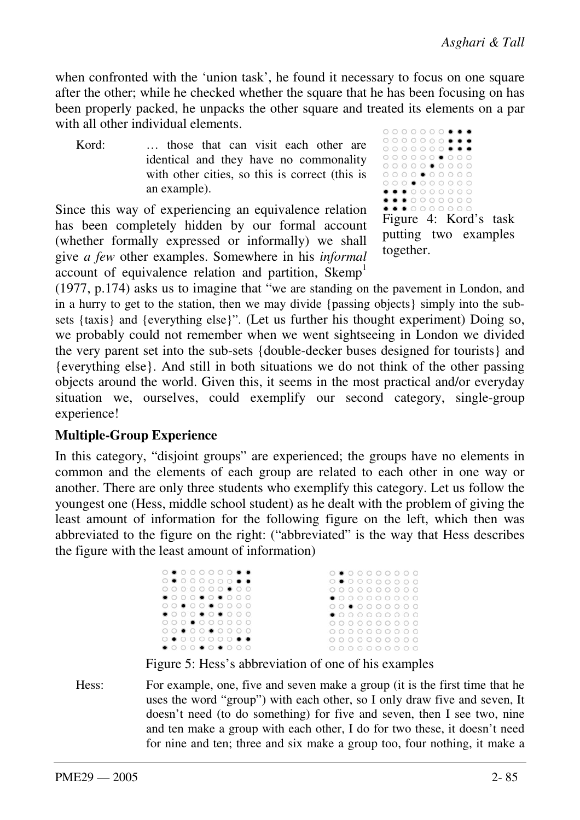when confronted with the 'union task', he found it necessary to focus on one square after the other; while he checked whether the square that he has been focusing on has been properly packed, he unpacks the other square and treated its elements on a par with all other individual elements.

Kord: … those that can visit each other are identical and they have no commonality with other cities, so this is correct (this is an example).

Since this way of experiencing an equivalence relation has been completely hidden by our formal account (whether formally expressed or informally) we shall give *a few* other examples. Somewhere in his *informal* account of equivalence relation and partition, Skemp<sup>1</sup>



(1977, p.174) asks us to imagine that "we are standing on the pavement in London, and in a hurry to get to the station, then we may divide {passing objects} simply into the subsets {taxis} and {everything else}". (Let us further his thought experiment) Doing so, we probably could not remember when we went sightseeing in London we divided the very parent set into the sub-sets {double-decker buses designed for tourists} and {everything else}. And still in both situations we do not think of the other passing objects around the world. Given this, it seems in the most practical and/or everyday situation we, ourselves, could exemplify our second category, single-group experience!

### **Multiple-Group Experience**

In this category, "disjoint groups" are experienced; the groups have no elements in common and the elements of each group are related to each other in one way or another. There are only three students who exemplify this category. Let us follow the youngest one (Hess, middle school student) as he dealt with the problem of giving the least amount of information for the following figure on the left, which then was abbreviated to the figure on the right: ("abbreviated" is the way that Hess describes the figure with the least amount of information)

| 0 ● 0 0 0 0 0 0 ● ●                                                     |  |  |  |  |  |  |  |            |  |  | 0 0 0 0 0 0 0 0 0 0 |  |  |
|-------------------------------------------------------------------------|--|--|--|--|--|--|--|------------|--|--|---------------------|--|--|
| 0 . 0 0 0 0 0 0 0 0                                                     |  |  |  |  |  |  |  |            |  |  | 0 0 0 0 0 0 0 0 0 0 |  |  |
| 0000000000                                                              |  |  |  |  |  |  |  |            |  |  | 0000000000          |  |  |
| .                                                                       |  |  |  |  |  |  |  |            |  |  | 0000000000          |  |  |
| 0000000000                                                              |  |  |  |  |  |  |  | 000000000  |  |  |                     |  |  |
| $\bullet$ . $\circ$ . $\bullet$ . $\circ$ . $\circ$ . $\circ$ . $\circ$ |  |  |  |  |  |  |  |            |  |  | 0000000000          |  |  |
| 000000000                                                               |  |  |  |  |  |  |  |            |  |  | 0000000000          |  |  |
| 0000000000                                                              |  |  |  |  |  |  |  |            |  |  | 0000000000          |  |  |
| .                                                                       |  |  |  |  |  |  |  | 0000000000 |  |  |                     |  |  |
| $\bullet$ 0 0 0 $\bullet$ 0 $\bullet$ 0 0 0 0                           |  |  |  |  |  |  |  |            |  |  | 0000000000          |  |  |
|                                                                         |  |  |  |  |  |  |  |            |  |  |                     |  |  |

Figure 5: Hess's abbreviation of one of his examples

Hess: For example, one, five and seven make a group (it is the first time that he uses the word "group") with each other, so I only draw five and seven, It doesn't need (to do something) for five and seven, then I see two, nine and ten make a group with each other, I do for two these, it doesn't need for nine and ten; three and six make a group too, four nothing, it make a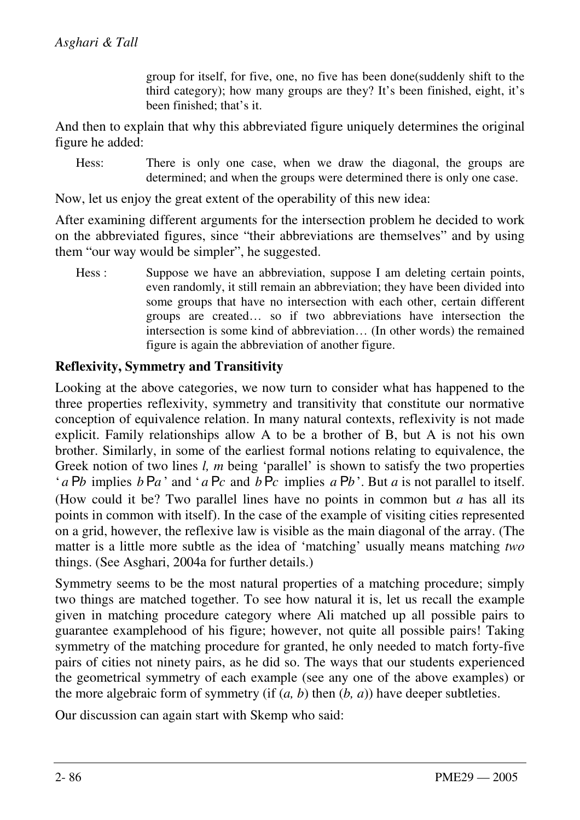group for itself, for five, one, no five has been done(suddenly shift to the third category); how many groups are they? It's been finished, eight, it's been finished; that's it.

And then to explain that why this abbreviated figure uniquely determines the original figure he added:

Hess: There is only one case, when we draw the diagonal, the groups are determined; and when the groups were determined there is only one case.

Now, let us enjoy the great extent of the operability of this new idea:

After examining different arguments for the intersection problem he decided to work on the abbreviated figures, since "their abbreviations are themselves" and by using them "our way would be simpler", he suggested.

Hess : Suppose we have an abbreviation, suppose I am deleting certain points, even randomly, it still remain an abbreviation; they have been divided into some groups that have no intersection with each other, certain different groups are created… so if two abbreviations have intersection the intersection is some kind of abbreviation… (In other words) the remained figure is again the abbreviation of another figure.

## **Reflexivity, Symmetry and Transitivity**

Looking at the above categories, we now turn to consider what has happened to the three properties reflexivity, symmetry and transitivity that constitute our normative conception of equivalence relation. In many natural contexts, reflexivity is not made explicit. Family relationships allow A to be a brother of B, but A is not his own brother. Similarly, in some of the earliest formal notions relating to equivalence, the Greek notion of two lines *l, m* being 'parallel' is shown to satisfy the two properties ' *a* P*b* implies *b* P*a* ' and ' *a* P*c* and *b* P*c* implies *a* P*b* '. But *a* is not parallel to itself. (How could it be? Two parallel lines have no points in common but *a* has all its points in common with itself). In the case of the example of visiting cities represented on a grid, however, the reflexive law is visible as the main diagonal of the array. (The matter is a little more subtle as the idea of 'matching' usually means matching *two* things. (See Asghari, 2004a for further details.)

Symmetry seems to be the most natural properties of a matching procedure; simply two things are matched together. To see how natural it is, let us recall the example given in matching procedure category where Ali matched up all possible pairs to guarantee examplehood of his figure; however, not quite all possible pairs! Taking symmetry of the matching procedure for granted, he only needed to match forty-five pairs of cities not ninety pairs, as he did so. The ways that our students experienced the geometrical symmetry of each example (see any one of the above examples) or the more algebraic form of symmetry (if  $(a, b)$  then  $(b, a)$ ) have deeper subtleties.

Our discussion can again start with Skemp who said: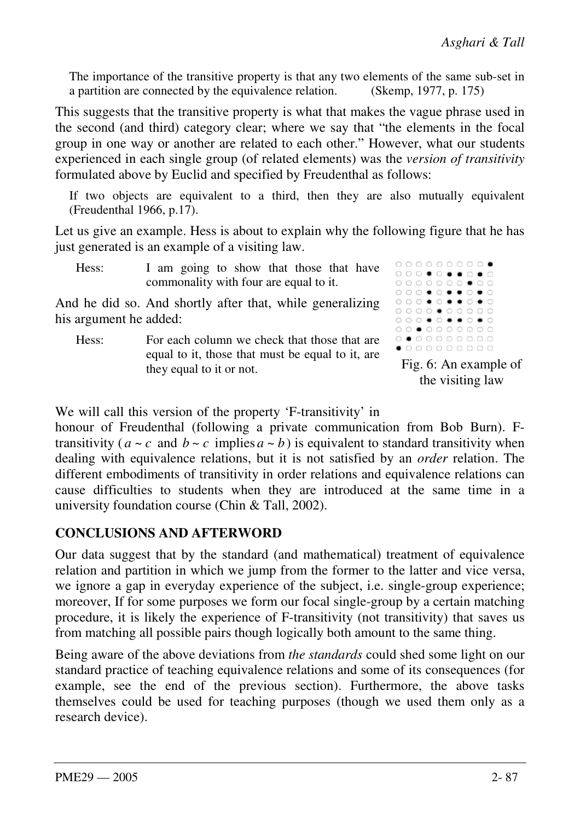The importance of the transitive property is that any two elements of the same sub-set in a partition are connected by the equivalence relation. (Skemp, 1977, p. 175)

This suggests that the transitive property is what that makes the vague phrase used in the second (and third) category clear; where we say that "the elements in the focal group in one way or another are related to each other." However, what our students experienced in each single group (of related elements) was the *version of transitivity* formulated above by Euclid and specified by Freudenthal as follows:

If two objects are equivalent to a third, then they are also mutually equivalent (Freudenthal 1966, p.17).

Let us give an example. Hess is about to explain why the following figure that he has just generated is an example of a visiting law.

| Hess: |  | I am going to show that those that have |  |  |  |
|-------|--|-----------------------------------------|--|--|--|
|       |  | commonality with four are equal to it.  |  |  |  |

And he did so. And shortly after that, while generalizing his argument he added:

Hess: For each column we check that those that are equal to it, those that must be equal to it, are they equal to it or not.



Fig. 6: An example of the visiting law

We will call this version of the property 'F-transitivity' in

honour of Freudenthal (following a private communication from Bob Burn). Ftransitivity ( $a \sim c$  and  $b \sim c$  implies  $a \sim b$ ) is equivalent to standard transitivity when dealing with equivalence relations, but it is not satisfied by an *order* relation. The different embodiments of transitivity in order relations and equivalence relations can cause difficulties to students when they are introduced at the same time in a university foundation course (Chin & Tall, 2002).

### **CONCLUSIONS AND AFTERWORD**

Our data suggest that by the standard (and mathematical) treatment of equivalence relation and partition in which we jump from the former to the latter and vice versa, we ignore a gap in everyday experience of the subject, i.e. single-group experience; moreover, If for some purposes we form our focal single-group by a certain matching procedure, it is likely the experience of F-transitivity (not transitivity) that saves us from matching all possible pairs though logically both amount to the same thing.

Being aware of the above deviations from *the standards* could shed some light on our standard practice of teaching equivalence relations and some of its consequences (for example, see the end of the previous section). Furthermore, the above tasks themselves could be used for teaching purposes (though we used them only as a research device).